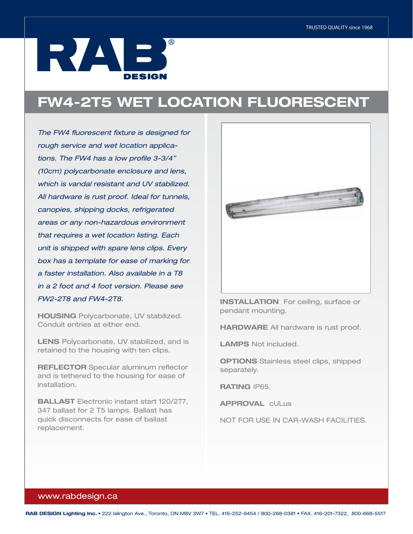## IRVANE. **DESIGN**

## FW4-2T5 WET LOCATION FLUORESCENT

*The FW4 fluorescent fixture is designed for rough service and wet location applications. The FW4 has a low profile 3-3/4" (10cm) polycarbonate enclosure and lens, which is vandal resistant and UV stabilized. All hardware is rust proof. Ideal for tunnels, canopies, shipping docks, refrigerated areas or any non-hazardous environment that requires a wet location listing. Each unit is shipped with spare lens clips. Every box has a template for ease of marking for a faster installation. Also available in a T8 in a 2 foot and 4 foot version. Please see FW2-2T8 and FW4-2T8.* 

HOUSING Polycarbonate, UV stabilized. Conduit entries at either end.

LENS Polycarbonate, UV stabilized, and is retained to the housing with ten clips.

REFLECTOR Specular aluminum reflector and is tethered to the housing for ease of installation.

BALLAST Electronic instant start 120/277, 347 ballast for 2 T5 lamps. Ballast has quick disconnects for ease of ballast replacement.



**INSTALLATION** For ceiling, surface or pendant mounting.

**HARDWARE** All hardware is rust proof.

LAMPS Not included.

**OPTIONS** Stainless steel clips, shipped separately.

RATING IP65,

APPROVAL cULus

NOT FOR USE IN CAR-WASH FACILITIES.

## www.rabdesign.ca